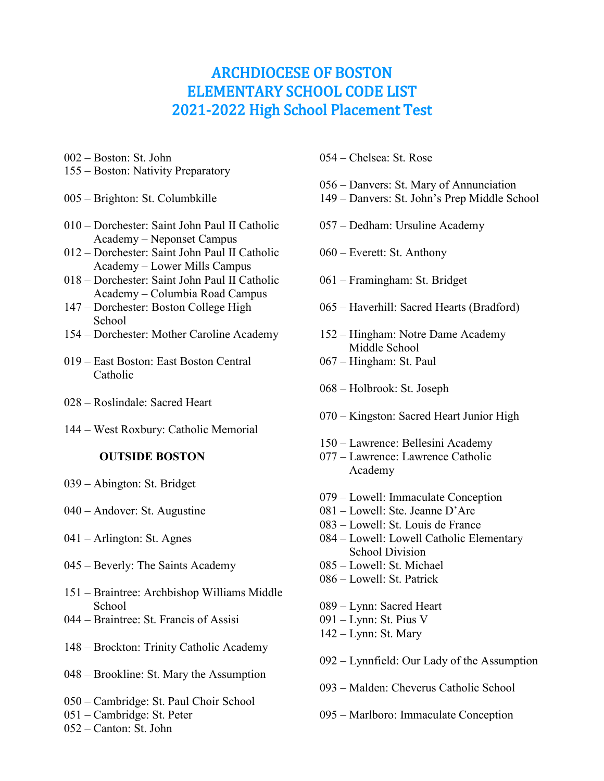## ARCHDIOCESE OF BOSTON ELEMENTARY SCHOOL CODE LIST 2021-2022 High School Placement Test

- Boston: St. John
- Boston: Nativity Preparatory
- Brighton: St. Columbkille
- Dorchester: Saint John Paul II Catholic Academy – Neponset Campus
- Dorchester: Saint John Paul II Catholic Academy – Lower Mills Campus
- Dorchester: Saint John Paul II Catholic Academy – Columbia Road Campus
- Dorchester: Boston College High School
- Dorchester: Mother Caroline Academy
- East Boston: East Boston Central Catholic
- Roslindale: Sacred Heart
- West Roxbury: Catholic Memorial

## **OUTSIDE BOSTON**

- Abington: St. Bridget
- Andover: St. Augustine
- Arlington: St. Agnes
- Beverly: The Saints Academy
- Braintree: Archbishop Williams Middle **School**
- Braintree: St. Francis of Assisi
- Brockton: Trinity Catholic Academy
- Brookline: St. Mary the Assumption
- Cambridge: St. Paul Choir School
- Cambridge: St. Peter
- Canton: St. John
- Chelsea: St. Rose
- Danvers: St. Mary of Annunciation
- Danvers: St. John's Prep Middle School
- Dedham: Ursuline Academy
- Everett: St. Anthony
- Framingham: St. Bridget
- Haverhill: Sacred Hearts (Bradford)
- Hingham: Notre Dame Academy Middle School
- Hingham: St. Paul
- Holbrook: St. Joseph
- Kingston: Sacred Heart Junior High
- Lawrence: Bellesini Academy
- Lawrence: Lawrence Catholic Academy
- Lowell: Immaculate Conception
- Lowell: Ste. Jeanne D'Arc
- Lowell: St. Louis de France
- Lowell: Lowell Catholic Elementary School Division
- Lowell: St. Michael
- Lowell: St. Patrick
- Lynn: Sacred Heart
- Lynn: St. Pius V
- Lynn: St. Mary
- Lynnfield: Our Lady of the Assumption
- Malden: Cheverus Catholic School
- Marlboro: Immaculate Conception